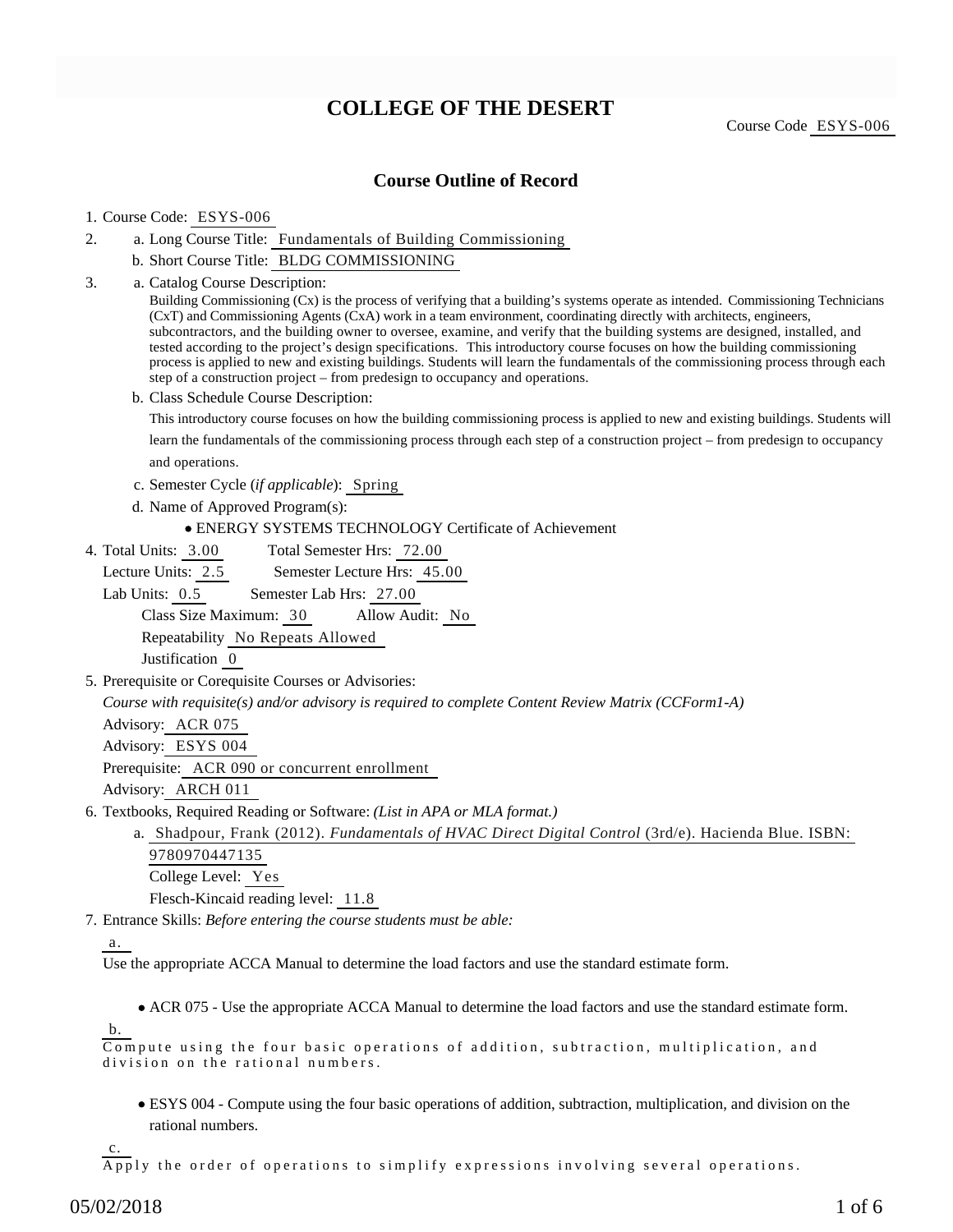# **COLLEGE OF THE DESERT**

Course Code ESYS-006

### **Course Outline of Record**

#### 1. Course Code: ESYS-006

- a. Long Course Title: Fundamentals of Building Commissioning 2.
	- b. Short Course Title: BLDG COMMISSIONING
- Catalog Course Description: a. Building Commissioning (Cx) is the process of verifying that a building's systems operate as intended. Commissioning Technicians (CxT) and Commissioning Agents (CxA) work in a team environment, coordinating directly with architects, engineers, subcontractors, and the building owner to oversee, examine, and verify that the building systems are designed, installed, and tested according to the project's design specifications. This introductory course focuses on how the building commissioning process is applied to new and existing buildings. Students will learn the fundamentals of the commissioning process through each step of a construction project – from predesign to occupancy and operations. b. Class Schedule Course Description: This introductory course focuses on how the building commissioning process is applied to new and existing buildings. Students will and operations. c. Semester Cycle (*if applicable*): Spring d. Name of Approved Program(s): ENERGY SYSTEMS TECHNOLOGY Certificate of Achievement 3. Total Semester Hrs: 72.00 Lecture Units: 2.5 Semester Lecture Hrs: 45.00 4. Total Units: 3.00

learn the fundamentals of the commissioning process through each step of a construction project – from predesign to occupancy

Lab Units: 0.5 Semester Lab Hrs: 27.00

Class Size Maximum: 30 Allow Audit: No

Repeatability No Repeats Allowed Justification 0

5. Prerequisite or Corequisite Courses or Advisories:

*Course with requisite(s) and/or advisory is required to complete Content Review Matrix (CCForm1-A)*

Advisory: ACR 075

Advisory: ESYS 004

Prerequisite: ACR 090 or concurrent enrollment

Advisory: ARCH 011

6. Textbooks, Required Reading or Software: (List in APA or MLA format.)

a. Shadpour, Frank (2012). *Fundamentals of HVAC Direct Digital Control* (3rd/e). Hacienda Blue. ISBN: 9780970447135 College Level: Yes

Flesch-Kincaid reading level: 11.8

Entrance Skills: *Before entering the course students must be able:* 7.

b.

Use the appropriate ACCA Manual to determine the load factors and use the standard estimate form.

ACR 075 - Use the appropriate ACCA Manual to determine the load factors and use the standard estimate form.

Compute using the four basic operations of addition, subtraction, multiplication, and division on the rational numbers.

ESYS 004 - Compute using the four basic operations of addition, subtraction, multiplication, and division on the rational numbers.

c.

Apply the order of operations to simplify expressions involving several operations.

a.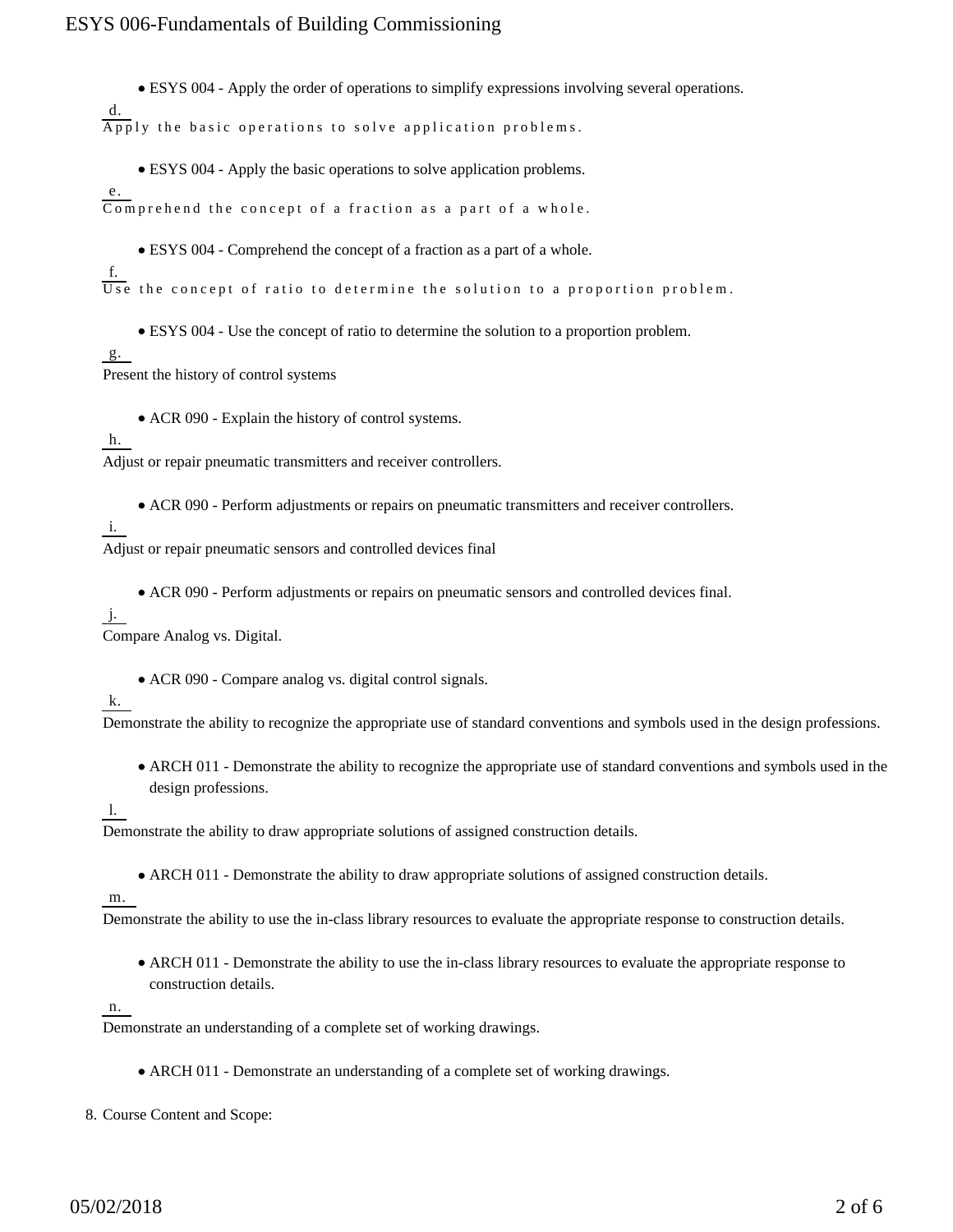ESYS 004 - Apply the order of operations to simplify expressions involving several operations.

d. Apply the basic operations to solve application problems.

ESYS 004 - Apply the basic operations to solve application problems.

e. Comprehend the concept of a fraction as a part of a whole.

ESYS 004 - Comprehend the concept of a fraction as a part of a whole.

f.  $\overline{U}$  the concept of ratio to determine the solution to a proportion problem.

ESYS 004 - Use the concept of ratio to determine the solution to a proportion problem.

g.

Present the history of control systems

ACR 090 - Explain the history of control systems.

h.

Adjust or repair pneumatic transmitters and receiver controllers.

ACR 090 - Perform adjustments or repairs on pneumatic transmitters and receiver controllers.

i.

Adjust or repair pneumatic sensors and controlled devices final

ACR 090 - Perform adjustments or repairs on pneumatic sensors and controlled devices final.

#### j.

Compare Analog vs. Digital.

ACR 090 - Compare analog vs. digital control signals.

k.

Demonstrate the ability to recognize the appropriate use of standard conventions and symbols used in the design professions.

ARCH 011 - Demonstrate the ability to recognize the appropriate use of standard conventions and symbols used in the design professions.

l.

Demonstrate the ability to draw appropriate solutions of assigned construction details.

• ARCH 011 - Demonstrate the ability to draw appropriate solutions of assigned construction details.

m.

Demonstrate the ability to use the in-class library resources to evaluate the appropriate response to construction details.

ARCH 011 - Demonstrate the ability to use the in-class library resources to evaluate the appropriate response to construction details.

n.

Demonstrate an understanding of a complete set of working drawings.

ARCH 011 - Demonstrate an understanding of a complete set of working drawings.

8. Course Content and Scope: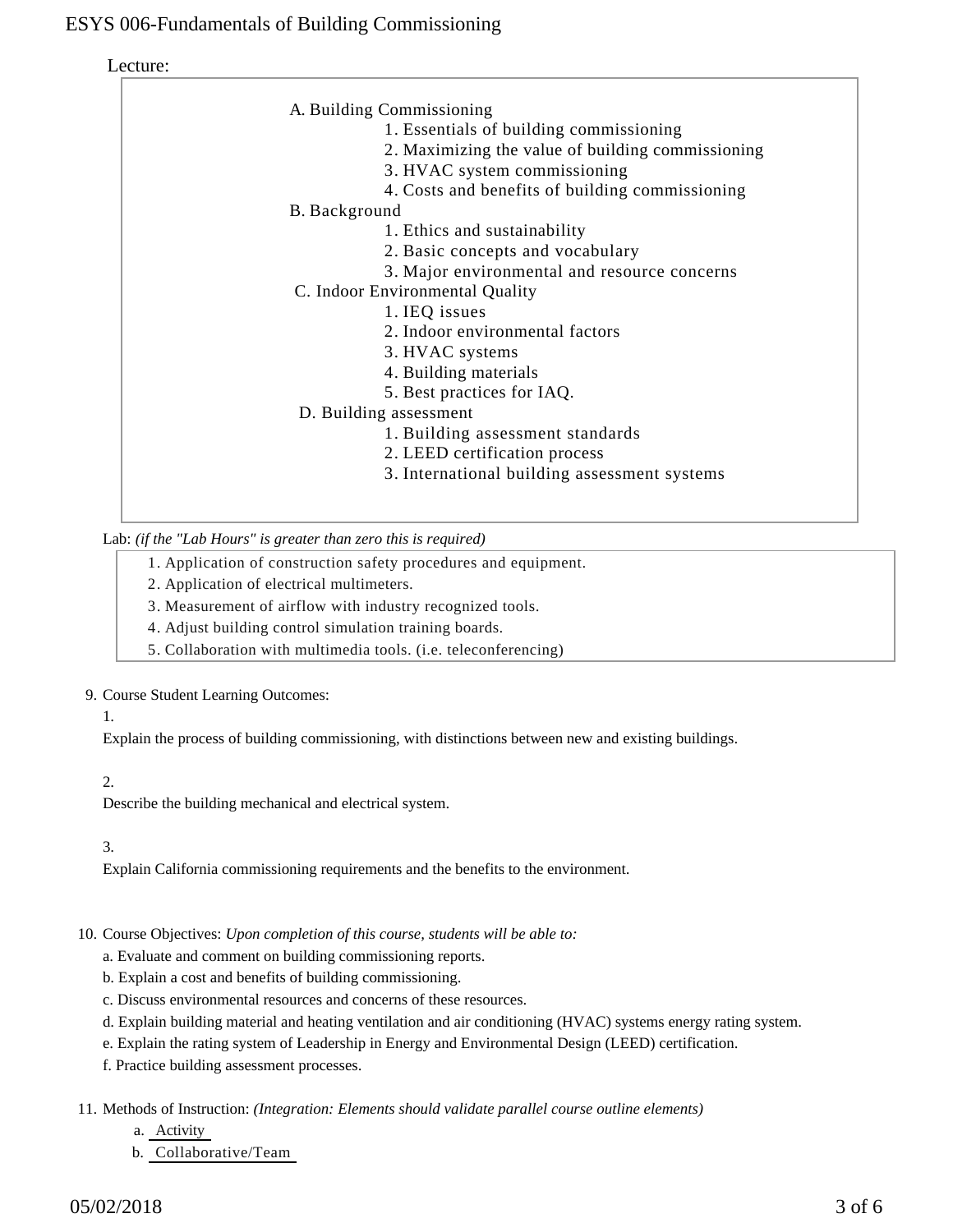Lecture:

| A. Building Commissioning                         |
|---------------------------------------------------|
| 1. Essentials of building commissioning           |
| 2. Maximizing the value of building commissioning |
| 3. HVAC system commissioning                      |
| 4. Costs and benefits of building commissioning   |
| B. Background                                     |
| 1. Ethics and sustainability                      |
| 2. Basic concepts and vocabulary                  |
| 3. Major environmental and resource concerns      |
| C. Indoor Environmental Quality                   |
| 1. IEQ issues                                     |
| 2. Indoor environmental factors                   |
| 3. HVAC systems                                   |
| 4. Building materials                             |
| 5. Best practices for IAQ.                        |
| D. Building assessment                            |
| 1. Building assessment standards                  |
| 2. LEED certification process                     |
| 3. International building assessment systems      |
|                                                   |
|                                                   |

Lab: *(if the "Lab Hours" is greater than zero this is required)*

- 1. Application of construction safety procedures and equipment.
- 2. Application of electrical multimeters.
- 3. Measurement of airflow with industry recognized tools.
- 4. Adjust building control simulation training boards.
- 5. Collaboration with multimedia tools. (i.e. teleconferencing)

#### 9. Course Student Learning Outcomes:

1.

Explain the process of building commissioning, with distinctions between new and existing buildings.

## 2.

Describe the building mechanical and electrical system.

## 3.

Explain California commissioning requirements and the benefits to the environment.

## 10. Course Objectives: Upon completion of this course, students will be able to:

a. Evaluate and comment on building commissioning reports.

- b. Explain a cost and benefits of building commissioning.
- c. Discuss environmental resources and concerns of these resources.
- d. Explain building material and heating ventilation and air conditioning (HVAC) systems energy rating system.
- e. Explain the rating system of Leadership in Energy and Environmental Design (LEED) certification.
- f. Practice building assessment processes.

11. Methods of Instruction: *(Integration: Elements should validate parallel course outline elements)* 

- a. Activity
- b. Collaborative/Team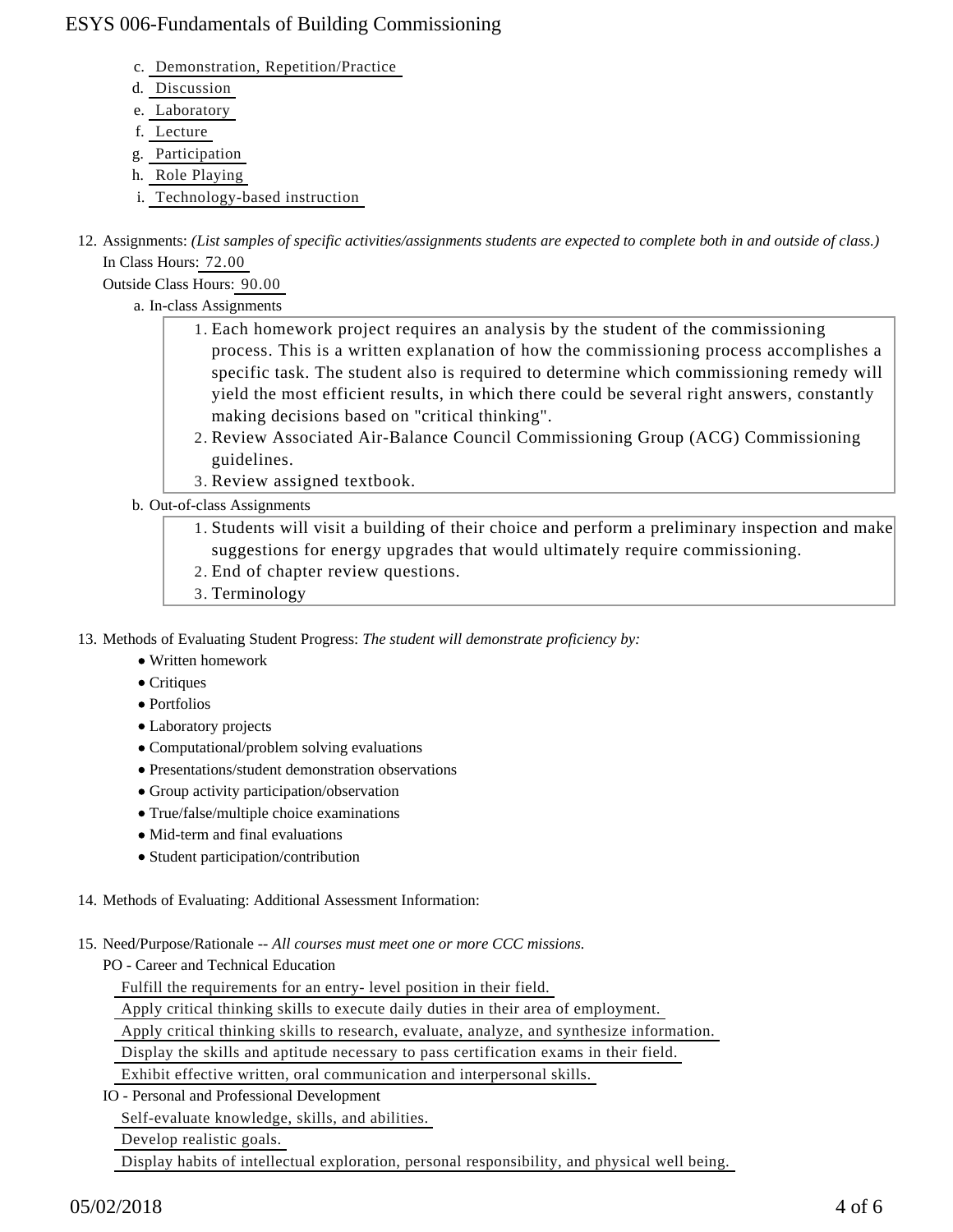- c. Demonstration, Repetition/Practice
- d. Discussion
- e. Laboratory
- f. Lecture
- g. Participation
- h. Role Playing
- i. Technology-based instruction
- 12. Assignments: (List samples of specific activities/assignments students are expected to complete both in and outside of class.) In Class Hours: 72.00

Outside Class Hours: 90.00

- a. In-class Assignments
	- 1. Each homework project requires an analysis by the student of the commissioning process. This is a written explanation of how the commissioning process accomplishes a specific task. The student also is required to determine which commissioning remedy will yield the most efficient results, in which there could be several right answers, constantly making decisions based on "critical thinking".
	- 2. Review Associated Air-Balance Council Commissioning Group (ACG) Commissioning guidelines.
	- 3. Review assigned textbook.
- b. Out-of-class Assignments
	- 1. Students will visit a building of their choice and perform a preliminary inspection and make suggestions for energy upgrades that would ultimately require commissioning.
	- 2. End of chapter review questions.
	- 3. Terminology

13. Methods of Evaluating Student Progress: The student will demonstrate proficiency by:

- Written homework
- Critiques
- Portfolios
- Laboratory projects
- Computational/problem solving evaluations
- Presentations/student demonstration observations
- Group activity participation/observation
- True/false/multiple choice examinations
- Mid-term and final evaluations
- Student participation/contribution
- 14. Methods of Evaluating: Additional Assessment Information:
- 15. Need/Purpose/Rationale -- All courses must meet one or more CCC missions.

PO - Career and Technical Education

Fulfill the requirements for an entry- level position in their field.

Apply critical thinking skills to execute daily duties in their area of employment.

Apply critical thinking skills to research, evaluate, analyze, and synthesize information.

Display the skills and aptitude necessary to pass certification exams in their field.

Exhibit effective written, oral communication and interpersonal skills.

IO - Personal and Professional Development

Self-evaluate knowledge, skills, and abilities.

Develop realistic goals.

Display habits of intellectual exploration, personal responsibility, and physical well being.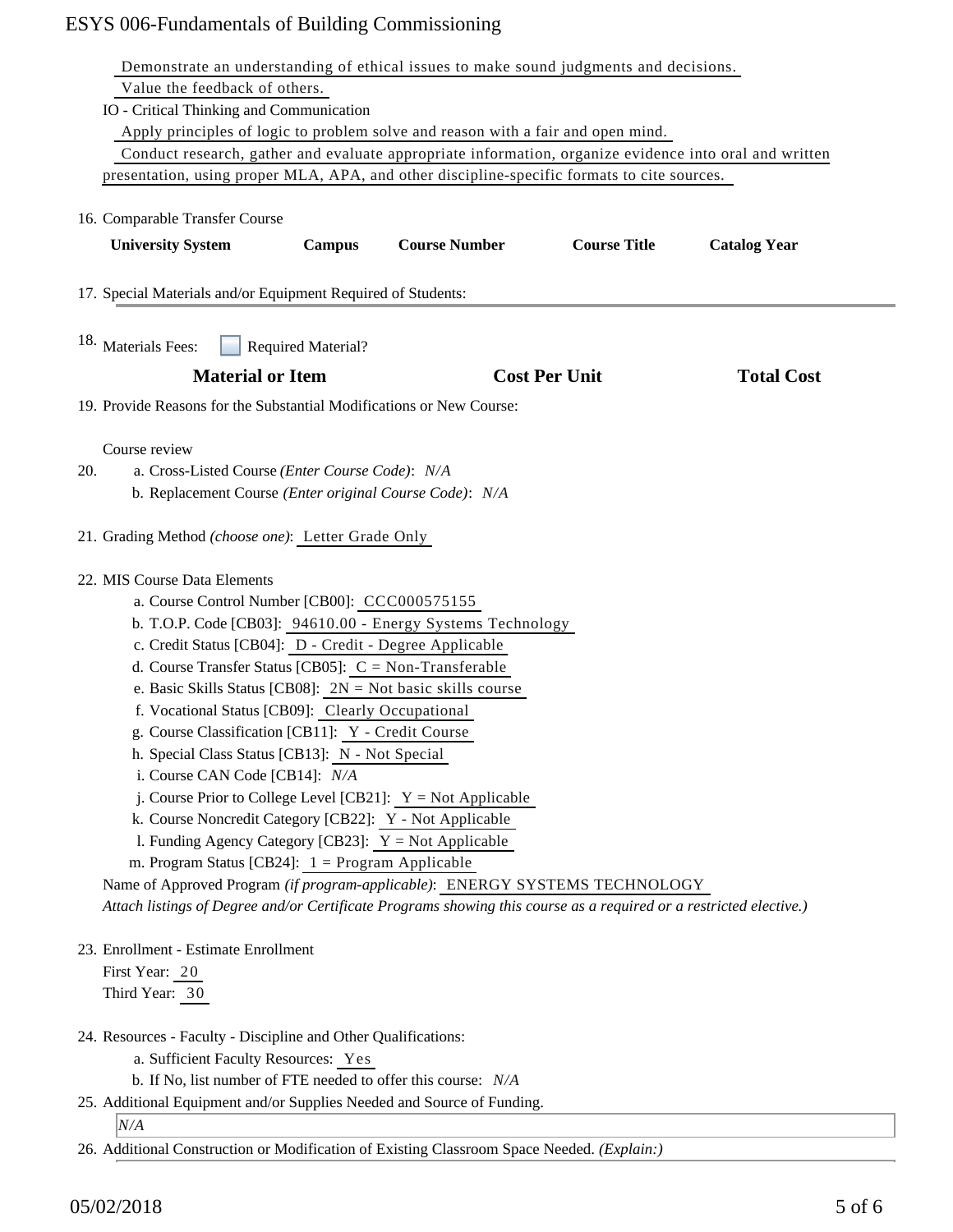|     | Demonstrate an understanding of ethical issues to make sound judgments and decisions.                                                                                                                                                                                                                                                                                                                                                                                                                                                                                                                                                                                                                                                                                                                                                                                                                                                                                                  |
|-----|----------------------------------------------------------------------------------------------------------------------------------------------------------------------------------------------------------------------------------------------------------------------------------------------------------------------------------------------------------------------------------------------------------------------------------------------------------------------------------------------------------------------------------------------------------------------------------------------------------------------------------------------------------------------------------------------------------------------------------------------------------------------------------------------------------------------------------------------------------------------------------------------------------------------------------------------------------------------------------------|
|     | Value the feedback of others.                                                                                                                                                                                                                                                                                                                                                                                                                                                                                                                                                                                                                                                                                                                                                                                                                                                                                                                                                          |
|     | IO - Critical Thinking and Communication                                                                                                                                                                                                                                                                                                                                                                                                                                                                                                                                                                                                                                                                                                                                                                                                                                                                                                                                               |
|     | Apply principles of logic to problem solve and reason with a fair and open mind.                                                                                                                                                                                                                                                                                                                                                                                                                                                                                                                                                                                                                                                                                                                                                                                                                                                                                                       |
|     | Conduct research, gather and evaluate appropriate information, organize evidence into oral and written                                                                                                                                                                                                                                                                                                                                                                                                                                                                                                                                                                                                                                                                                                                                                                                                                                                                                 |
|     | presentation, using proper MLA, APA, and other discipline-specific formats to cite sources.                                                                                                                                                                                                                                                                                                                                                                                                                                                                                                                                                                                                                                                                                                                                                                                                                                                                                            |
|     | 16. Comparable Transfer Course                                                                                                                                                                                                                                                                                                                                                                                                                                                                                                                                                                                                                                                                                                                                                                                                                                                                                                                                                         |
|     | <b>Course Title</b><br><b>Course Number</b><br><b>Catalog Year</b><br><b>University System</b><br><b>Campus</b>                                                                                                                                                                                                                                                                                                                                                                                                                                                                                                                                                                                                                                                                                                                                                                                                                                                                        |
|     | 17. Special Materials and/or Equipment Required of Students:                                                                                                                                                                                                                                                                                                                                                                                                                                                                                                                                                                                                                                                                                                                                                                                                                                                                                                                           |
|     | 18. Materials Fees:<br><b>Required Material?</b>                                                                                                                                                                                                                                                                                                                                                                                                                                                                                                                                                                                                                                                                                                                                                                                                                                                                                                                                       |
|     | <b>Material or Item</b><br><b>Cost Per Unit</b><br><b>Total Cost</b>                                                                                                                                                                                                                                                                                                                                                                                                                                                                                                                                                                                                                                                                                                                                                                                                                                                                                                                   |
|     | 19. Provide Reasons for the Substantial Modifications or New Course:                                                                                                                                                                                                                                                                                                                                                                                                                                                                                                                                                                                                                                                                                                                                                                                                                                                                                                                   |
| 20. | Course review<br>a. Cross-Listed Course (Enter Course Code): N/A<br>b. Replacement Course (Enter original Course Code): N/A                                                                                                                                                                                                                                                                                                                                                                                                                                                                                                                                                                                                                                                                                                                                                                                                                                                            |
|     | 21. Grading Method (choose one): Letter Grade Only                                                                                                                                                                                                                                                                                                                                                                                                                                                                                                                                                                                                                                                                                                                                                                                                                                                                                                                                     |
|     | 22. MIS Course Data Elements<br>a. Course Control Number [CB00]: CCC000575155<br>b. T.O.P. Code [CB03]: 94610.00 - Energy Systems Technology<br>c. Credit Status [CB04]: D - Credit - Degree Applicable<br>d. Course Transfer Status [CB05]: $C = Non-Transferable$<br>e. Basic Skills Status [CB08]: $2N = Not basic skills course$<br>f. Vocational Status [CB09]: Clearly Occupational<br>g. Course Classification [CB11]: Y - Credit Course<br>h. Special Class Status [CB13]: N - Not Special<br>i. Course CAN Code [CB14]: N/A<br>j. Course Prior to College Level [CB21]: $Y = Not$ Applicable<br>k. Course Noncredit Category [CB22]: Y - Not Applicable<br>1. Funding Agency Category [CB23]: $Y = Not$ Applicable<br>m. Program Status [CB24]: $1 =$ Program Applicable<br>Name of Approved Program (if program-applicable): ENERGY SYSTEMS TECHNOLOGY<br>Attach listings of Degree and/or Certificate Programs showing this course as a required or a restricted elective.) |
|     | 23. Enrollment - Estimate Enrollment<br>First Year: 20<br>Third Year: 30                                                                                                                                                                                                                                                                                                                                                                                                                                                                                                                                                                                                                                                                                                                                                                                                                                                                                                               |
|     | 24. Resources - Faculty - Discipline and Other Qualifications:<br>a. Sufficient Faculty Resources: Yes<br>b. If No, list number of FTE needed to offer this course: N/A                                                                                                                                                                                                                                                                                                                                                                                                                                                                                                                                                                                                                                                                                                                                                                                                                |
|     | 25. Additional Equipment and/or Supplies Needed and Source of Funding.                                                                                                                                                                                                                                                                                                                                                                                                                                                                                                                                                                                                                                                                                                                                                                                                                                                                                                                 |
|     | N/A<br>26. Additional Construction or Modification of Existing Classroom Space Needed. (Explain:)                                                                                                                                                                                                                                                                                                                                                                                                                                                                                                                                                                                                                                                                                                                                                                                                                                                                                      |